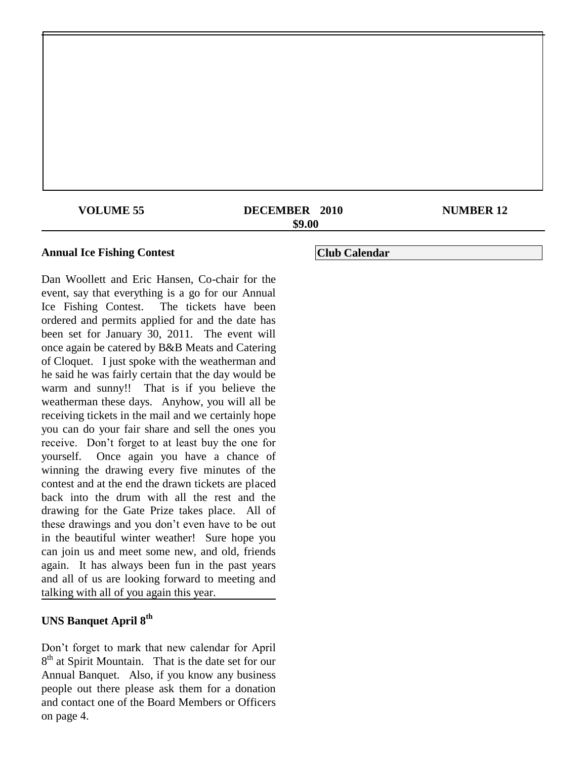| <b>VOLUME 55</b> | DECEMBER 2010 | <b>NUMBER 12</b> |
|------------------|---------------|------------------|
| \$9.00           |               |                  |
|                  |               |                  |

### **Annual Ice Fishing Contest**

Dan Woollett and Eric Hansen, Co-chair for the event, say that everything is a go for our Annual Ice Fishing Contest. The tickets have been ordered and permits applied for and the date has been set for January 30, 2011. The event will once again be catered by B&B Meats and Catering of Cloquet. I just spoke with the weatherman and he said he was fairly certain that the day would be warm and sunny!! That is if you believe the weatherman these days. Anyhow, you will all be receiving tickets in the mail and we certainly hope you can do your fair share and sell the ones you receive. Don't forget to at least buy the one for yourself. Once again you have a chance of winning the drawing every five minutes of the contest and at the end the drawn tickets are placed back into the drum with all the rest and the drawing for the Gate Prize takes place. All of these drawings and you don't even have to be out in the beautiful winter weather! Sure hope you can join us and meet some new, and old, friends again. It has always been fun in the past years and all of us are looking forward to meeting and talking with all of you again this year.

# **UNS Banquet April 8th**

Don't forget to mark that new calendar for April 8<sup>th</sup> at Spirit Mountain. That is the date set for our Annual Banquet. Also, if you know any business people out there please ask them for a donation and contact one of the Board Members or Officers on page 4.

**Club Calendar**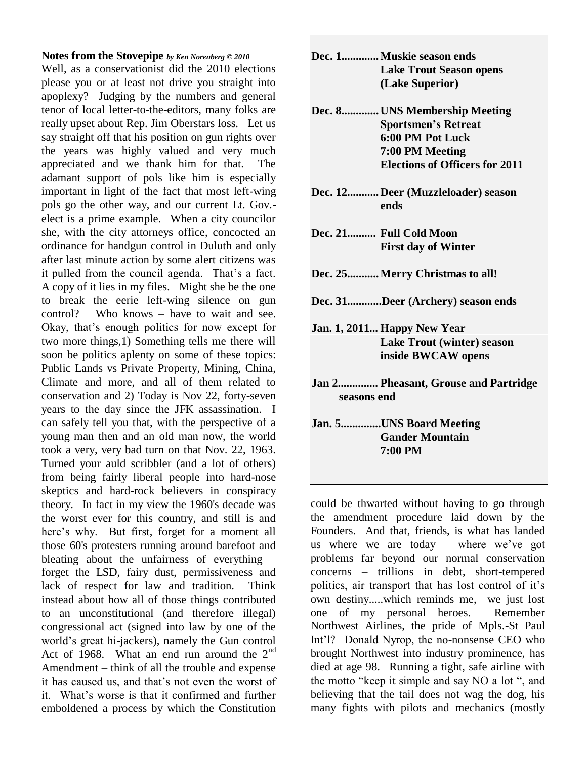### **Notes from the Stovepipe** *by Ken Norenberg © 2010*

Well, as a conservationist did the 2010 elections please you or at least not drive you straight into apoplexy? Judging by the numbers and general tenor of local letter-to-the-editors, many folks are really upset about Rep. Jim Oberstars loss. Let us say straight off that his position on gun rights over the years was highly valued and very much appreciated and we thank him for that. The adamant support of pols like him is especially important in light of the fact that most left-wing pols go the other way, and our current Lt. Gov. elect is a prime example. When a city councilor she, with the city attorneys office, concocted an ordinance for handgun control in Duluth and only after last minute action by some alert citizens was it pulled from the council agenda. That's a fact. A copy of it lies in my files. Might she be the one to break the eerie left-wing silence on gun control? Who knows – have to wait and see. Okay, that's enough politics for now except for two more things,1) Something tells me there will soon be politics aplenty on some of these topics: Public Lands vs Private Property, Mining, China, Climate and more, and all of them related to conservation and 2) Today is Nov 22, forty-seven years to the day since the JFK assassination. I can safely tell you that, with the perspective of a young man then and an old man now, the world took a very, very bad turn on that Nov. 22, 1963. Turned your auld scribbler (and a lot of others) from being fairly liberal people into hard-nose skeptics and hard-rock believers in conspiracy theory. In fact in my view the 1960's decade was the worst ever for this country, and still is and here's why. But first, forget for a moment all those 60's protesters running around barefoot and bleating about the unfairness of everything – forget the LSD, fairy dust, permissiveness and lack of respect for law and tradition. Think instead about how all of those things contributed to an unconstitutional (and therefore illegal) congressional act (signed into law by one of the world's great hi-jackers), namely the Gun control Act of 1968. What an end run around the  $2<sup>nd</sup>$ Amendment – think of all the trouble and expense it has caused us, and that's not even the worst of it. What's worse is that it confirmed and further emboldened a process by which the Constitution

|             | Dec. 1 Muskie season ends<br><b>Lake Trout Season opens</b><br>(Lake Superior)                                                              |
|-------------|---------------------------------------------------------------------------------------------------------------------------------------------|
|             | Dec. 8 UNS Membership Meeting<br><b>Sportsmen's Retreat</b><br>6:00 PM Pot Luck<br>7:00 PM Meeting<br><b>Elections of Officers for 2011</b> |
|             | Dec. 12Deer (Muzzleloader) season<br>ends                                                                                                   |
|             | Dec. 21 Full Cold Moon<br><b>First day of Winter</b>                                                                                        |
|             | Dec. 25 Merry Christmas to all!                                                                                                             |
|             | Dec. 31Deer (Archery) season ends                                                                                                           |
|             | Jan. 1, 2011 Happy New Year<br><b>Lake Trout (winter) season</b><br>inside BWCAW opens                                                      |
| seasons end | Jan 2 Pheasant, Grouse and Partridge                                                                                                        |
|             | Jan. 5UNS Board Meeting<br><b>Gander Mountain</b><br>7:00 PM                                                                                |

could be thwarted without having to go through the amendment procedure laid down by the Founders. And that, friends, is what has landed us where we are today – where we've got problems far beyond our normal conservation concerns – trillions in debt, short-tempered politics, air transport that has lost control of it's own destiny.....which reminds me, we just lost one of my personal heroes. Remember Northwest Airlines, the pride of Mpls.-St Paul Int'l? Donald Nyrop, the no-nonsense CEO who brought Northwest into industry prominence, has died at age 98. Running a tight, safe airline with the motto "keep it simple and say NO a lot ", and believing that the tail does not wag the dog, his many fights with pilots and mechanics (mostly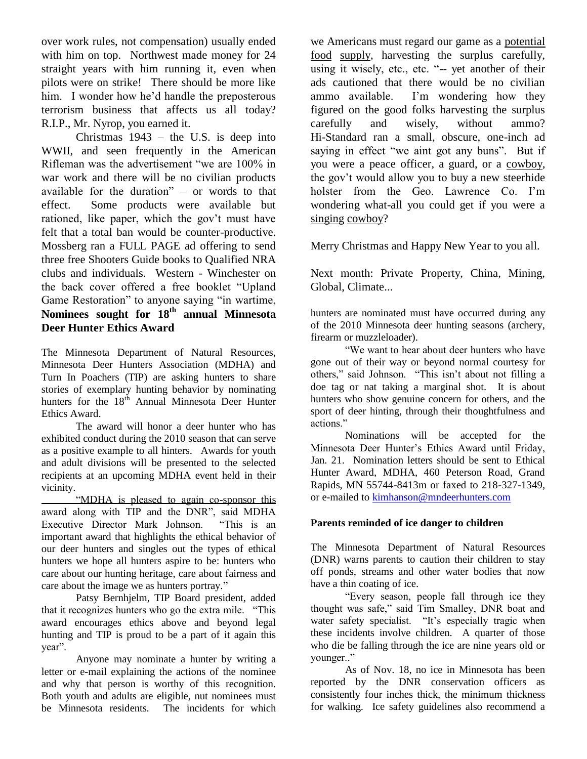over work rules, not compensation) usually ended with him on top. Northwest made money for 24 straight years with him running it, even when pilots were on strike! There should be more like him. I wonder how he'd handle the preposterous terrorism business that affects us all today? R.I.P., Mr. Nyrop, you earned it.

Christmas 1943 – the U.S. is deep into WWII, and seen frequently in the American Rifleman was the advertisement "we are 100% in war work and there will be no civilian products available for the duration" – or words to that effect. Some products were available but rationed, like paper, which the gov't must have felt that a total ban would be counter-productive. Mossberg ran a FULL PAGE ad offering to send three free Shooters Guide books to Qualified NRA clubs and individuals. Western - Winchester on the back cover offered a free booklet "Upland Game Restoration" to anyone saying "in wartime, **Nominees sought for 18th annual Minnesota Deer Hunter Ethics Award**

The Minnesota Department of Natural Resources, Minnesota Deer Hunters Association (MDHA) and Turn In Poachers (TIP) are asking hunters to share stories of exemplary hunting behavior by nominating hunters for the  $18<sup>th</sup>$  Annual Minnesota Deer Hunter Ethics Award.

The award will honor a deer hunter who has exhibited conduct during the 2010 season that can serve as a positive example to all hinters. Awards for youth and adult divisions will be presented to the selected recipients at an upcoming MDHA event held in their vicinity.

"MDHA is pleased to again co-sponsor this award along with TIP and the DNR", said MDHA<br>Executive Director Mark Johnson. "This is an Executive Director Mark Johnson. important award that highlights the ethical behavior of our deer hunters and singles out the types of ethical hunters we hope all hunters aspire to be: hunters who care about our hunting heritage, care about fairness and care about the image we as hunters portray."

Patsy Bernhjelm, TIP Board president, added that it recognizes hunters who go the extra mile. "This award encourages ethics above and beyond legal hunting and TIP is proud to be a part of it again this year".

Anyone may nominate a hunter by writing a letter or e-mail explaining the actions of the nominee and why that person is worthy of this recognition. Both youth and adults are eligible, nut nominees must<br>be Minnesota residents. The incidents for which The incidents for which we Americans must regard our game as a potential food supply, harvesting the surplus carefully, using it wisely, etc., etc. "-- yet another of their ads cautioned that there would be no civilian ammo available. I'm wondering how they figured on the good folks harvesting the surplus carefully and wisely, without ammo? Hi-Standard ran a small, obscure, one-inch ad saying in effect "we aint got any buns". But if you were a peace officer, a guard, or a cowboy, the gov't would allow you to buy a new steerhide holster from the Geo. Lawrence Co. I'm wondering what-all you could get if you were a singing cowboy?

Merry Christmas and Happy New Year to you all.

Next month: Private Property, China, Mining, Global, Climate...

hunters are nominated must have occurred during any of the 2010 Minnesota deer hunting seasons (archery, firearm or muzzleloader).

"We want to hear about deer hunters who have gone out of their way or beyond normal courtesy for others," said Johnson. "This isn't about not filling a doe tag or nat taking a marginal shot. It is about hunters who show genuine concern for others, and the sport of deer hinting, through their thoughtfulness and actions."

Nominations will be accepted for the Minnesota Deer Hunter's Ethics Award until Friday, Jan. 21. Nomination letters should be sent to Ethical Hunter Award, MDHA, 460 Peterson Road, Grand Rapids, MN 55744-8413m or faxed to 218-327-1349, or e-mailed to kimhanson@mndeerhunters.com

## **Parents reminded of ice danger to children**

The Minnesota Department of Natural Resources (DNR) warns parents to caution their children to stay off ponds, streams and other water bodies that now have a thin coating of ice.

"Every season, people fall through ice they thought was safe," said Tim Smalley, DNR boat and water safety specialist. "It's especially tragic when these incidents involve children. A quarter of those who die be falling through the ice are nine years old or younger.."

As of Nov. 18, no ice in Minnesota has been reported by the DNR conservation officers as consistently four inches thick, the minimum thickness for walking. Ice safety guidelines also recommend a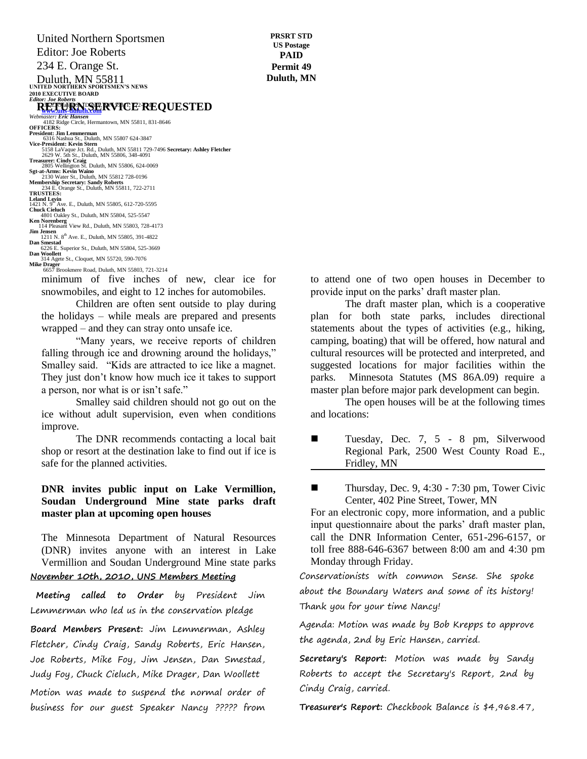United Northern Sportsmen Editor: Joe Roberts 234 E. Orange St.

Duluth, MN 55811<br>
UNITED NORTHERN SPORTSMEN'S NEWS **2010 EXECUTIVE BOARD** *Editor: Joe Roberts*

#### **RETURNSERVICE REQUESTED**

**Webmaster: Eric Hansen**<br> *Webmaster: Eric Hansen*<br>
4182 Ridge Circle, Hermantown, MN 55811, 831-8646<br> **OFFICERS:** 

President: Jim Lemmerman<br>6316 Nashua St., Duluth, MN 55807 624-3847<br>Vice-President: Kevin Stern<br>5158 LaVaque Jot. Rd., Duluth, MN 55811 729-7496 **Secretary: Ashley Fletcher**<br>2629 W. 5th St., Duluth, MN 55806, 348-4091 **Treasurer: Cindy Craig** 2805 Wellington St. Duluth, MN 55806, 624-0069 **Sgt-at-Arms: Kevin Waino** 2130 Water St., Duluth, MN 55812 728-0196 **Membership Secretary: Sandy Roberts** 234 E. Orange St., Duluth, MN 55811, 722-2711 **TRUSTEES: Leland Levin<br>1421 N. 9<sup>th</sup> Ave. E., Duluth, MN 55805, 612-720-5595<br><b>Chuck Cieluch**<br>4801 Oakley St., Duluth, MN 55804, 525-5547 **Ken Norenberg** 114 Pleasant View Rd., Duluth, MN 55803, 728-4173 **Jim Jensen**<br>
1211 N. 8<sup>th</sup> Ave. E., Duluth, MN 55805, 391-4822<br> **Dan Smestad**<br> **Dan Woollett**<br> **Dan Woollett** 314 Agete St., Cloquet, MN 55720, 590-7076

**Mike Drager** 6657 Brookmere Road, Duluth, MN 55803, 721-3214

minimum of five inches of new, clear ice for snowmobiles, and eight to 12 inches for automobiles.

Children are often sent outside to play during the holidays – while meals are prepared and presents wrapped – and they can stray onto unsafe ice.

"Many years, we receive reports of children falling through ice and drowning around the holidays," Smalley said. "Kids are attracted to ice like a magnet. They just don't know how much ice it takes to support a person, nor what is or isn't safe."

Smalley said children should not go out on the ice without adult supervision, even when conditions improve.

The DNR recommends contacting a local bait shop or resort at the destination lake to find out if ice is safe for the planned activities.

### **DNR invites public input on Lake Vermillion, Soudan Underground Mine state parks draft master plan at upcoming open houses**

The Minnesota Department of Natural Resources (DNR) invites anyone with an interest in Lake Vermillion and Soudan Underground Mine state parks **November 10th, 2010, UNS Members Meeting**

**Meeting called to Order** by President Jim Lemmerman who led us in the conservation pledge

**Board Members Present:** Jim Lemmerman, Ashley Fletcher, Cindy Craig, Sandy Roberts, Eric Hansen, Joe Roberts, Mike Foy, Jim Jensen, Dan Smestad, Judy Foy, Chuck Cieluch, Mike Drager, Dan Woollett Motion was made to suspend the normal order of business for our guest Speaker Nancy ????? from

to attend one of two open houses in December to provide input on the parks' draft master plan.

The draft master plan, which is a cooperative plan for both state parks, includes directional statements about the types of activities (e.g., hiking, camping, boating) that will be offered, how natural and cultural resources will be protected and interpreted, and suggested locations for major facilities within the parks. Minnesota Statutes (MS 86A.09) require a master plan before major park development can begin.

The open houses will be at the following times and locations:

 Tuesday, Dec. 7, 5 - 8 pm, Silverwood Regional Park, 2500 West County Road E., Fridley, MN

Thursday, Dec. 9, 4:30 - 7:30 pm, Tower Civic Center, 402 Pine Street, Tower, MN

For an electronic copy, more information, and a public input questionnaire about the parks' draft master plan, call the DNR Information Center, 651-296-6157, or toll free 888-646-6367 between 8:00 am and 4:30 pm Monday through Friday.

Conservationists with common Sense. She spoke about the Boundary Waters and some of its history! Thank you for your time Nancy!

Agenda: Motion was made by Bob Krepps to approve the agenda, 2nd by Eric Hansen, carried.

**Secretary's Report:** Motion was made by Sandy Roberts to accept the Secretary's Report, 2nd by Cindy Craig, carried.

**Treasurer's Report:** Checkbook Balance is \$4,968.47,

**PRSRT STD US Postage PAID Permit 49 Duluth, MN**